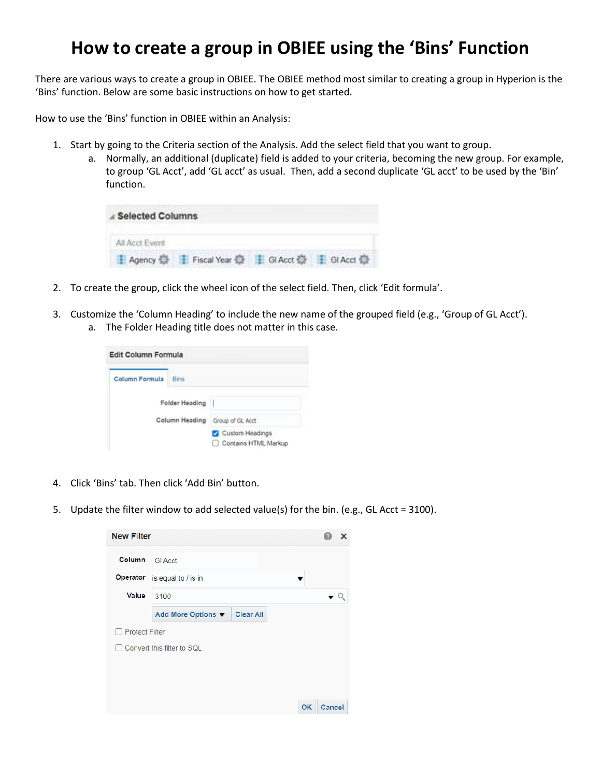## **How to create a group in OBIEE using the 'Bins' Function**

There are various ways to create a group in OBIEE. The OBIEE method most similar to creating a group in Hyperion is the 'Bins' function. Below are some basic instructions on how to get started.

How to use the 'Bins' function in OBIEE within an Analysis:

- 1. Start by going to the Criteria section of the Analysis. Add the select field that you want to group.
	- a. Normally, an additional (duplicate) field is added to your criteria, becoming the new group. For example, to group 'GL Acct', add 'GL acct' as usual. Then, add a second duplicate 'GL acct' to be used by the 'Bin' function.

| Selected Columns |                                                    |  |
|------------------|----------------------------------------------------|--|
| All Acct Event   |                                                    |  |
|                  | ■ Agency ② H Fiscal Year ③ H Gl Acct ③ H Gl Acct ③ |  |

- 2. To create the group, click the wheel icon of the select field. Then, click 'Edit formula'.
- 3. Customize the 'Column Heading' to include the new name of the grouped field (e.g., 'Group of GL Acct').
	- a. The Folder Heading title does not matter in this case.

| Column Formula | Bins           |                                              |
|----------------|----------------|----------------------------------------------|
|                | Folder Heading |                                              |
|                | Column Heading | Group of GL Acct                             |
|                |                | Custom Headings<br>Contains HTML Markup<br>П |

- 4. Click 'Bins' tab. Then click 'Add Bin' button.
- 5. Update the filter window to add selected value(s) for the bin. (e.g., GL Acct = 3100).

| <b>New Filter</b>     |                                 |              |
|-----------------------|---------------------------------|--------------|
| <b>Column</b>         | <b>GI Acct</b>                  |              |
| Operator              | is equal to / is in             |              |
| <b>Value</b>          | 3100                            |              |
|                       | Clear All<br>Add More Options ▼ |              |
| <b>Protect Filter</b> |                                 |              |
|                       | Convert this filter to SQL      |              |
|                       |                                 |              |
|                       |                                 |              |
|                       |                                 | OK<br>Cancel |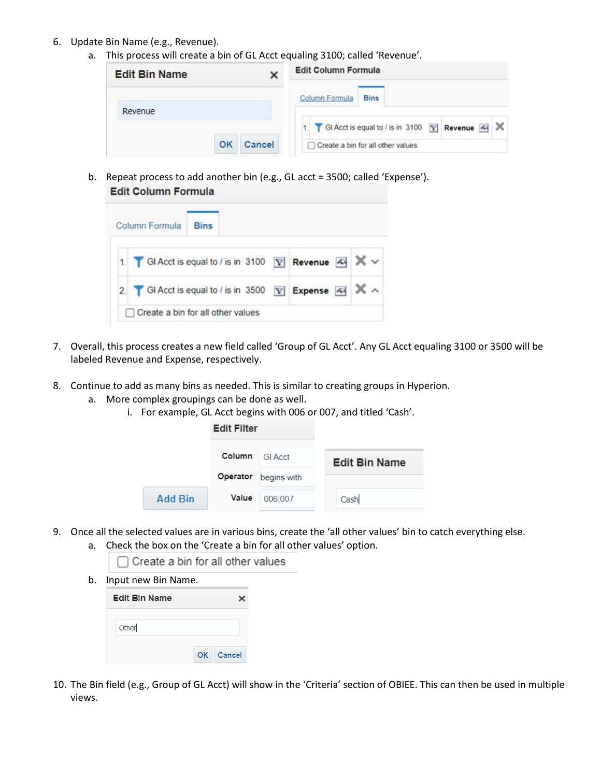- 6. Update Bin Name (e.g., Revenue).
	- a. This process will create a bin of GL Acct equaling 3100; called 'Revenue'.

| <b>Edit Bin Name</b> |  | <b>Edit Column Formula</b>                                 |
|----------------------|--|------------------------------------------------------------|
| Revenue              |  | Column Formula<br><b>Bins</b>                              |
|                      |  | 1   GI Acct is equal to / is in 3100   Y   Revenue   A   X |
| OK<br>Cancel         |  | Create a bin for all other values                          |

b. Repeat process to add another bin (e.g., GL acct = 3500; called 'Expense'). **Edit Column Formula** 

| Column Formula | <b>Bins</b>                                               |  |  |
|----------------|-----------------------------------------------------------|--|--|
|                | 1. GI Acct is equal to / is in 3100 \[ Revenue   4 X \    |  |  |
|                | 2.   GI Acct is equal to / is in 3500   Expense   4   X ^ |  |  |

- 7. Overall, this process creates a new field called 'Group of GL Acct'. Any GL Acct equaling 3100 or 3500 will be labeled Revenue and Expense, respectively.
- 8. Continue to add as many bins as needed. This is similar to creating groups in Hyperion.
	- a. More complex groupings can be done as well.
		- i. For example, GL Acct begins with 006 or 007, and titled 'Cash'.

|         | <b>Edit Filter</b> |             |                      |
|---------|--------------------|-------------|----------------------|
|         | Column             | GI Acct     | <b>Edit Bin Name</b> |
|         | Operator           | begins with |                      |
| Add Bin | Value              | 006:007     | Cash                 |

- 9. Once all the selected values are in various bins, create the 'all other values' bin to catch everything else. a. Check the box on the 'Create a bin for all other values' option.
	- □ Create a bin for all other values
	- b. Input new Bin Name.

| <b>Edit Bin Name</b> |           |
|----------------------|-----------|
| Other                |           |
|                      | OK Cancel |

10. The Bin field (e.g., Group of GL Acct) will show in the 'Criteria' section of OBIEE. This can then be used in multiple views.